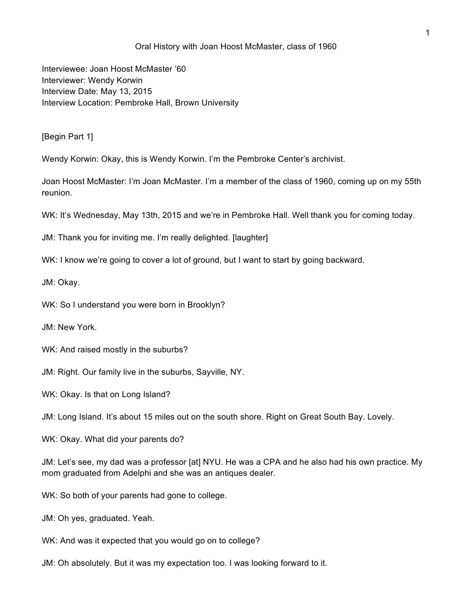## Oral History with Joan Hoost McMaster, class of 1960

Interviewee: Joan Hoost McMaster '60 Interviewer: Wendy Korwin Interview Date: May 13, 2015 Interview Location: Pembroke Hall, Brown University

[Begin Part 1]

Wendy Korwin: Okay, this is Wendy Korwin. I'm the Pembroke Center's archivist.

Joan Hoost McMaster: I'm Joan McMaster. I'm a member of the class of 1960, coming up on my 55th reunion.

WK: It's Wednesday, May 13th, 2015 and we're in Pembroke Hall. Well thank you for coming today.

JM: Thank you for inviting me. I'm really delighted. [laughter]

WK: I know we're going to cover a lot of ground, but I want to start by going backward.

JM: Okay.

WK: So I understand you were born in Brooklyn?

JM: New York.

WK: And raised mostly in the suburbs?

JM: Right. Our family live in the suburbs, Sayville, NY.

WK: Okay. Is that on Long Island?

JM: Long Island. It's about 15 miles out on the south shore. Right on Great South Bay. Lovely.

WK: Okay. What did your parents do?

JM: Let's see, my dad was a professor [at] NYU. He was a CPA and he also had his own practice. My mom graduated from Adelphi and she was an antiques dealer.

WK: So both of your parents had gone to college.

JM: Oh yes, graduated. Yeah.

WK: And was it expected that you would go on to college?

JM: Oh absolutely. But it was my expectation too. I was looking forward to it.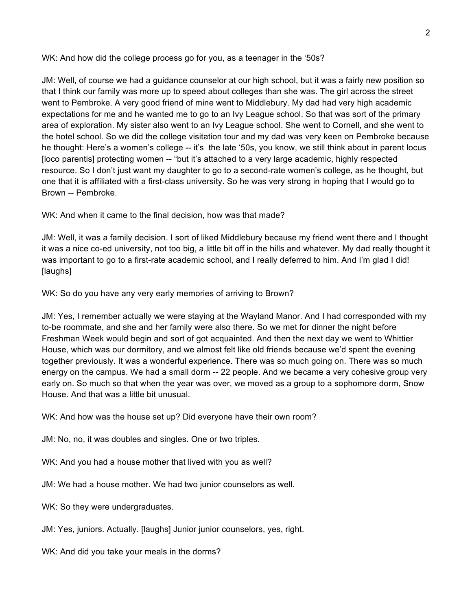WK: And how did the college process go for you, as a teenager in the '50s?

JM: Well, of course we had a guidance counselor at our high school, but it was a fairly new position so that I think our family was more up to speed about colleges than she was. The girl across the street went to Pembroke. A very good friend of mine went to Middlebury. My dad had very high academic expectations for me and he wanted me to go to an Ivy League school. So that was sort of the primary area of exploration. My sister also went to an Ivy League school. She went to Cornell, and she went to the hotel school. So we did the college visitation tour and my dad was very keen on Pembroke because he thought: Here's a women's college -- it's the late '50s, you know, we still think about in parent locus [loco parentis] protecting women -- "but it's attached to a very large academic, highly respected resource. So I don't just want my daughter to go to a second-rate women's college, as he thought, but one that it is affiliated with a first-class university. So he was very strong in hoping that I would go to Brown -- Pembroke.

WK: And when it came to the final decision, how was that made?

JM: Well, it was a family decision. I sort of liked Middlebury because my friend went there and I thought it was a nice co-ed university, not too big, a little bit off in the hills and whatever. My dad really thought it was important to go to a first-rate academic school, and I really deferred to him. And I'm glad I did! [laughs]

WK: So do you have any very early memories of arriving to Brown?

JM: Yes, I remember actually we were staying at the Wayland Manor. And I had corresponded with my to-be roommate, and she and her family were also there. So we met for dinner the night before Freshman Week would begin and sort of got acquainted. And then the next day we went to Whittier House, which was our dormitory, and we almost felt like old friends because we'd spent the evening together previously. It was a wonderful experience. There was so much going on. There was so much energy on the campus. We had a small dorm -- 22 people. And we became a very cohesive group very early on. So much so that when the year was over, we moved as a group to a sophomore dorm, Snow House. And that was a little bit unusual.

WK: And how was the house set up? Did everyone have their own room?

JM: No, no, it was doubles and singles. One or two triples.

WK: And you had a house mother that lived with you as well?

JM: We had a house mother. We had two junior counselors as well.

WK: So they were undergraduates.

JM: Yes, juniors. Actually. [laughs] Junior junior counselors, yes, right.

WK: And did you take your meals in the dorms?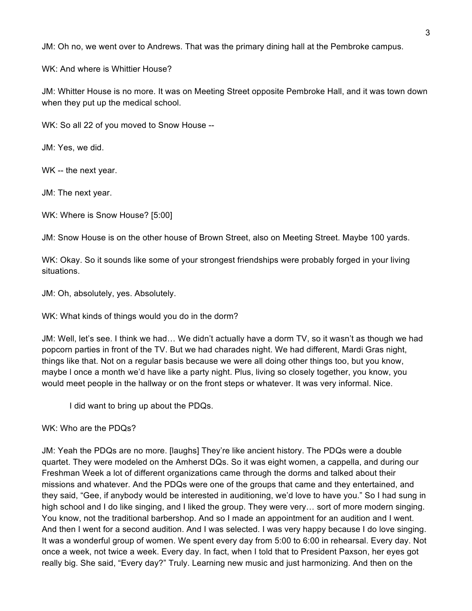JM: Oh no, we went over to Andrews. That was the primary dining hall at the Pembroke campus.

WK: And where is Whittier House?

JM: Whitter House is no more. It was on Meeting Street opposite Pembroke Hall, and it was town down when they put up the medical school.

WK: So all 22 of you moved to Snow House --

JM: Yes, we did.

WK -- the next year.

JM: The next year.

WK: Where is Snow House? [5:00]

JM: Snow House is on the other house of Brown Street, also on Meeting Street. Maybe 100 yards.

WK: Okay. So it sounds like some of your strongest friendships were probably forged in your living situations.

JM: Oh, absolutely, yes. Absolutely.

WK: What kinds of things would you do in the dorm?

JM: Well, let's see. I think we had… We didn't actually have a dorm TV, so it wasn't as though we had popcorn parties in front of the TV. But we had charades night. We had different, Mardi Gras night, things like that. Not on a regular basis because we were all doing other things too, but you know, maybe l once a month we'd have like a party night. Plus, living so closely together, you know, you would meet people in the hallway or on the front steps or whatever. It was very informal. Nice.

I did want to bring up about the PDQs.

WK: Who are the PDQs?

JM: Yeah the PDQs are no more. [laughs] They're like ancient history. The PDQs were a double quartet. They were modeled on the Amherst DQs. So it was eight women, a cappella, and during our Freshman Week a lot of different organizations came through the dorms and talked about their missions and whatever. And the PDQs were one of the groups that came and they entertained, and they said, "Gee, if anybody would be interested in auditioning, we'd love to have you." So I had sung in high school and I do like singing, and I liked the group. They were very… sort of more modern singing. You know, not the traditional barbershop. And so I made an appointment for an audition and I went. And then I went for a second audition. And I was selected. I was very happy because I do love singing. It was a wonderful group of women. We spent every day from 5:00 to 6:00 in rehearsal. Every day. Not once a week, not twice a week. Every day. In fact, when I told that to President Paxson, her eyes got really big. She said, "Every day?" Truly. Learning new music and just harmonizing. And then on the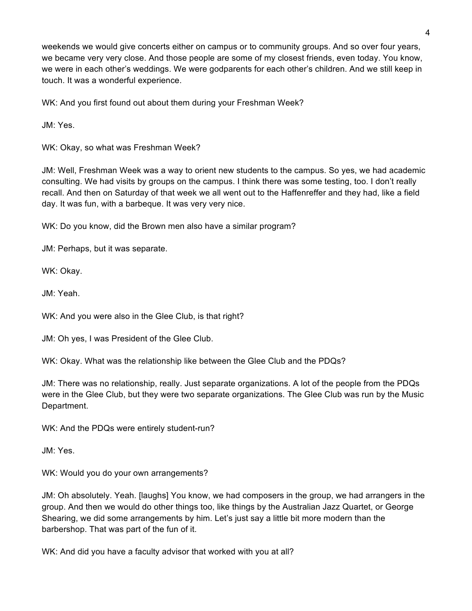weekends we would give concerts either on campus or to community groups. And so over four years, we became very very close. And those people are some of my closest friends, even today. You know, we were in each other's weddings. We were godparents for each other's children. And we still keep in touch. It was a wonderful experience.

WK: And you first found out about them during your Freshman Week?

JM: Yes.

WK: Okay, so what was Freshman Week?

JM: Well, Freshman Week was a way to orient new students to the campus. So yes, we had academic consulting. We had visits by groups on the campus. I think there was some testing, too. I don't really recall. And then on Saturday of that week we all went out to the Haffenreffer and they had, like a field day. It was fun, with a barbeque. It was very very nice.

WK: Do you know, did the Brown men also have a similar program?

JM: Perhaps, but it was separate.

WK: Okay.

JM: Yeah.

WK: And you were also in the Glee Club, is that right?

JM: Oh yes, I was President of the Glee Club.

WK: Okay. What was the relationship like between the Glee Club and the PDQs?

JM: There was no relationship, really. Just separate organizations. A lot of the people from the PDQs were in the Glee Club, but they were two separate organizations. The Glee Club was run by the Music Department.

WK: And the PDQs were entirely student-run?

JM: Yes.

WK: Would you do your own arrangements?

JM: Oh absolutely. Yeah. [laughs] You know, we had composers in the group, we had arrangers in the group. And then we would do other things too, like things by the Australian Jazz Quartet, or George Shearing, we did some arrangements by him. Let's just say a little bit more modern than the barbershop. That was part of the fun of it.

WK: And did you have a faculty advisor that worked with you at all?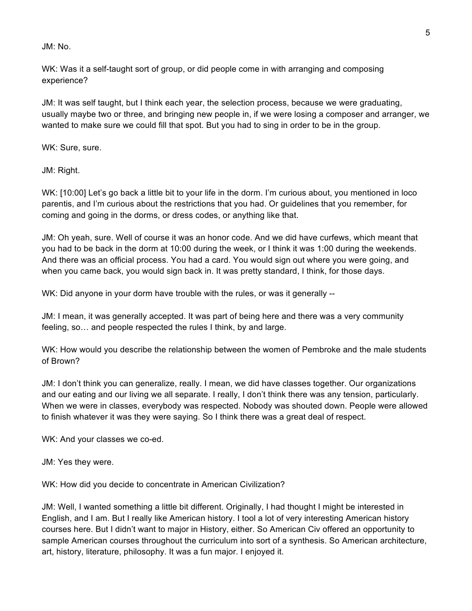## JM: No.

WK: Was it a self-taught sort of group, or did people come in with arranging and composing experience?

JM: It was self taught, but I think each year, the selection process, because we were graduating, usually maybe two or three, and bringing new people in, if we were losing a composer and arranger, we wanted to make sure we could fill that spot. But you had to sing in order to be in the group.

WK: Sure, sure.

JM: Right.

WK: [10:00] Let's go back a little bit to your life in the dorm. I'm curious about, you mentioned in loco parentis, and I'm curious about the restrictions that you had. Or guidelines that you remember, for coming and going in the dorms, or dress codes, or anything like that.

JM: Oh yeah, sure. Well of course it was an honor code. And we did have curfews, which meant that you had to be back in the dorm at 10:00 during the week, or I think it was 1:00 during the weekends. And there was an official process. You had a card. You would sign out where you were going, and when you came back, you would sign back in. It was pretty standard, I think, for those days.

WK: Did anyone in your dorm have trouble with the rules, or was it generally --

JM: I mean, it was generally accepted. It was part of being here and there was a very community feeling, so… and people respected the rules I think, by and large.

WK: How would you describe the relationship between the women of Pembroke and the male students of Brown?

JM: I don't think you can generalize, really. I mean, we did have classes together. Our organizations and our eating and our living we all separate. I really, I don't think there was any tension, particularly. When we were in classes, everybody was respected. Nobody was shouted down. People were allowed to finish whatever it was they were saying. So I think there was a great deal of respect.

WK: And your classes we co-ed.

JM: Yes they were.

WK: How did you decide to concentrate in American Civilization?

JM: Well, I wanted something a little bit different. Originally, I had thought I might be interested in English, and I am. But I really like American history. I tool a lot of very interesting American history courses here. But I didn't want to major in History, either. So American Civ offered an opportunity to sample American courses throughout the curriculum into sort of a synthesis. So American architecture, art, history, literature, philosophy. It was a fun major. I enjoyed it.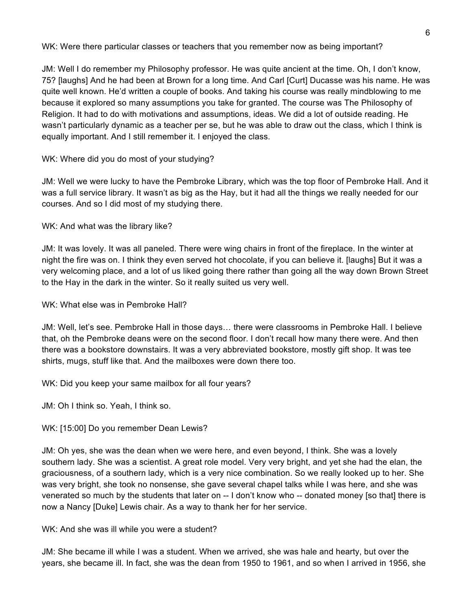WK: Were there particular classes or teachers that you remember now as being important?

JM: Well I do remember my Philosophy professor. He was quite ancient at the time. Oh, I don't know, 75? [laughs] And he had been at Brown for a long time. And Carl [Curt] Ducasse was his name. He was quite well known. He'd written a couple of books. And taking his course was really mindblowing to me because it explored so many assumptions you take for granted. The course was The Philosophy of Religion. It had to do with motivations and assumptions, ideas. We did a lot of outside reading. He wasn't particularly dynamic as a teacher per se, but he was able to draw out the class, which I think is equally important. And I still remember it. I enjoyed the class.

WK: Where did you do most of your studying?

JM: Well we were lucky to have the Pembroke Library, which was the top floor of Pembroke Hall. And it was a full service library. It wasn't as big as the Hay, but it had all the things we really needed for our courses. And so I did most of my studying there.

WK: And what was the library like?

JM: It was lovely. It was all paneled. There were wing chairs in front of the fireplace. In the winter at night the fire was on. I think they even served hot chocolate, if you can believe it. [laughs] But it was a very welcoming place, and a lot of us liked going there rather than going all the way down Brown Street to the Hay in the dark in the winter. So it really suited us very well.

WK: What else was in Pembroke Hall?

JM: Well, let's see. Pembroke Hall in those days… there were classrooms in Pembroke Hall. I believe that, oh the Pembroke deans were on the second floor. I don't recall how many there were. And then there was a bookstore downstairs. It was a very abbreviated bookstore, mostly gift shop. It was tee shirts, mugs, stuff like that. And the mailboxes were down there too.

WK: Did you keep your same mailbox for all four years?

JM: Oh I think so. Yeah, I think so.

WK: [15:00] Do you remember Dean Lewis?

JM: Oh yes, she was the dean when we were here, and even beyond, I think. She was a lovely southern lady. She was a scientist. A great role model. Very very bright, and yet she had the elan, the graciousness, of a southern lady, which is a very nice combination. So we really looked up to her. She was very bright, she took no nonsense, she gave several chapel talks while I was here, and she was venerated so much by the students that later on -- I don't know who -- donated money [so that] there is now a Nancy [Duke] Lewis chair. As a way to thank her for her service.

WK: And she was ill while you were a student?

JM: She became ill while I was a student. When we arrived, she was hale and hearty, but over the years, she became ill. In fact, she was the dean from 1950 to 1961, and so when I arrived in 1956, she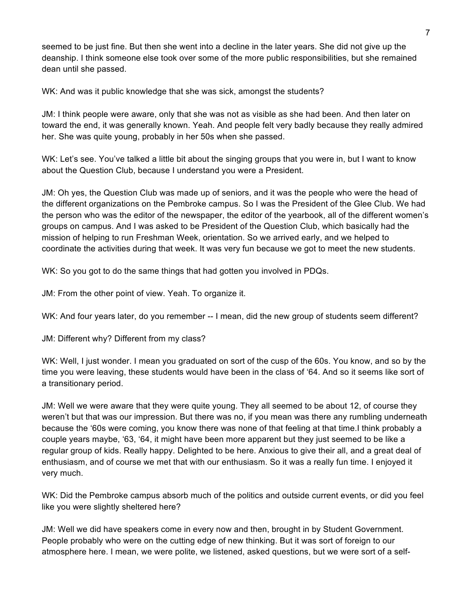seemed to be just fine. But then she went into a decline in the later years. She did not give up the deanship. I think someone else took over some of the more public responsibilities, but she remained dean until she passed.

WK: And was it public knowledge that she was sick, amongst the students?

JM: I think people were aware, only that she was not as visible as she had been. And then later on toward the end, it was generally known. Yeah. And people felt very badly because they really admired her. She was quite young, probably in her 50s when she passed.

WK: Let's see. You've talked a little bit about the singing groups that you were in, but I want to know about the Question Club, because I understand you were a President.

JM: Oh yes, the Question Club was made up of seniors, and it was the people who were the head of the different organizations on the Pembroke campus. So I was the President of the Glee Club. We had the person who was the editor of the newspaper, the editor of the yearbook, all of the different women's groups on campus. And I was asked to be President of the Question Club, which basically had the mission of helping to run Freshman Week, orientation. So we arrived early, and we helped to coordinate the activities during that week. It was very fun because we got to meet the new students.

WK: So you got to do the same things that had gotten you involved in PDQs.

JM: From the other point of view. Yeah. To organize it.

WK: And four years later, do you remember -- I mean, did the new group of students seem different?

JM: Different why? Different from my class?

WK: Well, I just wonder. I mean you graduated on sort of the cusp of the 60s. You know, and so by the time you were leaving, these students would have been in the class of '64. And so it seems like sort of a transitionary period.

JM: Well we were aware that they were quite young. They all seemed to be about 12, of course they weren't but that was our impression. But there was no, if you mean was there any rumbling underneath because the '60s were coming, you know there was none of that feeling at that time.I think probably a couple years maybe, '63, '64, it might have been more apparent but they just seemed to be like a regular group of kids. Really happy. Delighted to be here. Anxious to give their all, and a great deal of enthusiasm, and of course we met that with our enthusiasm. So it was a really fun time. I enjoyed it very much.

WK: Did the Pembroke campus absorb much of the politics and outside current events, or did you feel like you were slightly sheltered here?

JM: Well we did have speakers come in every now and then, brought in by Student Government. People probably who were on the cutting edge of new thinking. But it was sort of foreign to our atmosphere here. I mean, we were polite, we listened, asked questions, but we were sort of a self-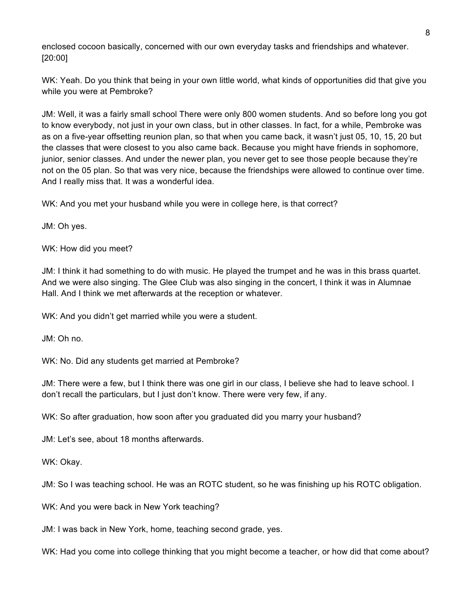enclosed cocoon basically, concerned with our own everyday tasks and friendships and whatever. [20:00]

WK: Yeah. Do you think that being in your own little world, what kinds of opportunities did that give you while you were at Pembroke?

JM: Well, it was a fairly small school There were only 800 women students. And so before long you got to know everybody, not just in your own class, but in other classes. In fact, for a while, Pembroke was as on a five-year offsetting reunion plan, so that when you came back, it wasn't just 05, 10, 15, 20 but the classes that were closest to you also came back. Because you might have friends in sophomore, junior, senior classes. And under the newer plan, you never get to see those people because they're not on the 05 plan. So that was very nice, because the friendships were allowed to continue over time. And I really miss that. It was a wonderful idea.

WK: And you met your husband while you were in college here, is that correct?

JM: Oh yes.

WK: How did you meet?

JM: I think it had something to do with music. He played the trumpet and he was in this brass quartet. And we were also singing. The Glee Club was also singing in the concert, I think it was in Alumnae Hall. And I think we met afterwards at the reception or whatever.

WK: And you didn't get married while you were a student.

JM: Oh no.

WK: No. Did any students get married at Pembroke?

JM: There were a few, but I think there was one girl in our class, I believe she had to leave school. I don't recall the particulars, but I just don't know. There were very few, if any.

WK: So after graduation, how soon after you graduated did you marry your husband?

JM: Let's see, about 18 months afterwards.

WK: Okay.

JM: So I was teaching school. He was an ROTC student, so he was finishing up his ROTC obligation.

WK: And you were back in New York teaching?

JM: I was back in New York, home, teaching second grade, yes.

WK: Had you come into college thinking that you might become a teacher, or how did that come about?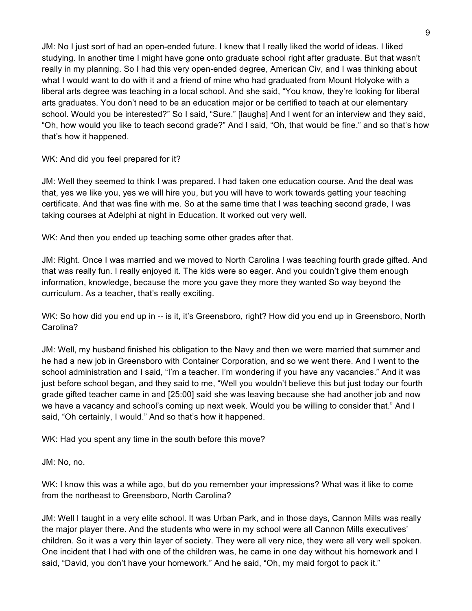JM: No I just sort of had an open-ended future. I knew that I really liked the world of ideas. I liked studying. In another time I might have gone onto graduate school right after graduate. But that wasn't really in my planning. So I had this very open-ended degree, American Civ, and I was thinking about what I would want to do with it and a friend of mine who had graduated from Mount Holyoke with a liberal arts degree was teaching in a local school. And she said, "You know, they're looking for liberal arts graduates. You don't need to be an education major or be certified to teach at our elementary school. Would you be interested?" So I said, "Sure." [laughs] And I went for an interview and they said, "Oh, how would you like to teach second grade?" And I said, "Oh, that would be fine." and so that's how that's how it happened.

WK: And did you feel prepared for it?

JM: Well they seemed to think I was prepared. I had taken one education course. And the deal was that, yes we like you, yes we will hire you, but you will have to work towards getting your teaching certificate. And that was fine with me. So at the same time that I was teaching second grade, I was taking courses at Adelphi at night in Education. It worked out very well.

WK: And then you ended up teaching some other grades after that.

JM: Right. Once I was married and we moved to North Carolina I was teaching fourth grade gifted. And that was really fun. I really enjoyed it. The kids were so eager. And you couldn't give them enough information, knowledge, because the more you gave they more they wanted So way beyond the curriculum. As a teacher, that's really exciting.

WK: So how did you end up in -- is it, it's Greensboro, right? How did you end up in Greensboro, North Carolina?

JM: Well, my husband finished his obligation to the Navy and then we were married that summer and he had a new job in Greensboro with Container Corporation, and so we went there. And I went to the school administration and I said, "I'm a teacher. I'm wondering if you have any vacancies." And it was just before school began, and they said to me, "Well you wouldn't believe this but just today our fourth grade gifted teacher came in and [25:00] said she was leaving because she had another job and now we have a vacancy and school's coming up next week. Would you be willing to consider that." And I said, "Oh certainly, I would." And so that's how it happened.

WK: Had you spent any time in the south before this move?

JM: No, no.

WK: I know this was a while ago, but do you remember your impressions? What was it like to come from the northeast to Greensboro, North Carolina?

JM: Well I taught in a very elite school. It was Urban Park, and in those days, Cannon Mills was really the major player there. And the students who were in my school were all Cannon Mills executives' children. So it was a very thin layer of society. They were all very nice, they were all very well spoken. One incident that I had with one of the children was, he came in one day without his homework and I said, "David, you don't have your homework." And he said, "Oh, my maid forgot to pack it."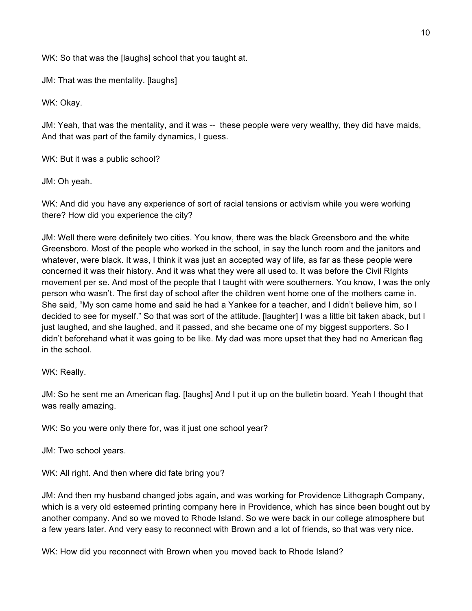WK: So that was the [laughs] school that you taught at.

JM: That was the mentality. [laughs]

WK: Okay.

JM: Yeah, that was the mentality, and it was -- these people were very wealthy, they did have maids, And that was part of the family dynamics, I guess.

WK: But it was a public school?

JM: Oh yeah.

WK: And did you have any experience of sort of racial tensions or activism while you were working there? How did you experience the city?

JM: Well there were definitely two cities. You know, there was the black Greensboro and the white Greensboro. Most of the people who worked in the school, in say the lunch room and the janitors and whatever, were black. It was, I think it was just an accepted way of life, as far as these people were concerned it was their history. And it was what they were all used to. It was before the Civil RIghts movement per se. And most of the people that I taught with were southerners. You know, I was the only person who wasn't. The first day of school after the children went home one of the mothers came in. She said, "My son came home and said he had a Yankee for a teacher, and I didn't believe him, so I decided to see for myself." So that was sort of the attitude. [laughter] I was a little bit taken aback, but I just laughed, and she laughed, and it passed, and she became one of my biggest supporters. So I didn't beforehand what it was going to be like. My dad was more upset that they had no American flag in the school.

WK: Really.

JM: So he sent me an American flag. [laughs] And I put it up on the bulletin board. Yeah I thought that was really amazing.

WK: So you were only there for, was it just one school year?

JM: Two school years.

WK: All right. And then where did fate bring you?

JM: And then my husband changed jobs again, and was working for Providence Lithograph Company, which is a very old esteemed printing company here in Providence, which has since been bought out by another company. And so we moved to Rhode Island. So we were back in our college atmosphere but a few years later. And very easy to reconnect with Brown and a lot of friends, so that was very nice.

WK: How did you reconnect with Brown when you moved back to Rhode Island?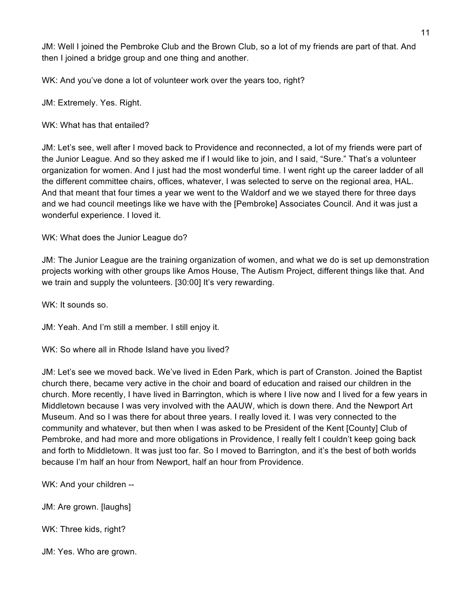JM: Well I joined the Pembroke Club and the Brown Club, so a lot of my friends are part of that. And then I joined a bridge group and one thing and another.

WK: And you've done a lot of volunteer work over the years too, right?

JM: Extremely. Yes. Right.

WK: What has that entailed?

JM: Let's see, well after I moved back to Providence and reconnected, a lot of my friends were part of the Junior League. And so they asked me if I would like to join, and I said, "Sure." That's a volunteer organization for women. And I just had the most wonderful time. I went right up the career ladder of all the different committee chairs, offices, whatever, I was selected to serve on the regional area, HAL. And that meant that four times a year we went to the Waldorf and we we stayed there for three days and we had council meetings like we have with the [Pembroke] Associates Council. And it was just a wonderful experience. I loved it.

WK: What does the Junior League do?

JM: The Junior League are the training organization of women, and what we do is set up demonstration projects working with other groups like Amos House, The Autism Project, different things like that. And we train and supply the volunteers. [30:00] It's very rewarding.

WK: It sounds so.

JM: Yeah. And I'm still a member. I still enjoy it.

WK: So where all in Rhode Island have you lived?

JM: Let's see we moved back. We've lived in Eden Park, which is part of Cranston. Joined the Baptist church there, became very active in the choir and board of education and raised our children in the church. More recently, I have lived in Barrington, which is where I live now and I lived for a few years in Middletown because I was very involved with the AAUW, which is down there. And the Newport Art Museum. And so I was there for about three years. I really loved it. I was very connected to the community and whatever, but then when I was asked to be President of the Kent [County] Club of Pembroke, and had more and more obligations in Providence, I really felt I couldn't keep going back and forth to Middletown. It was just too far. So I moved to Barrington, and it's the best of both worlds because I'm half an hour from Newport, half an hour from Providence.

WK: And your children --

JM: Are grown. [laughs]

WK: Three kids, right?

JM: Yes. Who are grown.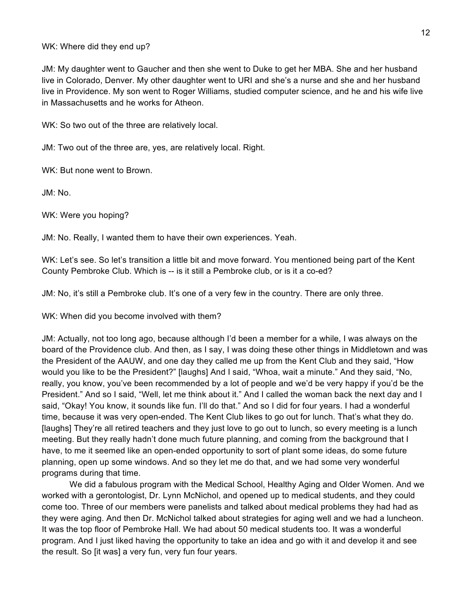## WK: Where did they end up?

JM: My daughter went to Gaucher and then she went to Duke to get her MBA. She and her husband live in Colorado, Denver. My other daughter went to URI and she's a nurse and she and her husband live in Providence. My son went to Roger Williams, studied computer science, and he and his wife live in Massachusetts and he works for Atheon.

WK: So two out of the three are relatively local.

JM: Two out of the three are, yes, are relatively local. Right.

WK: But none went to Brown.

JM: No.

WK: Were you hoping?

JM: No. Really, I wanted them to have their own experiences. Yeah.

WK: Let's see. So let's transition a little bit and move forward. You mentioned being part of the Kent County Pembroke Club. Which is -- is it still a Pembroke club, or is it a co-ed?

JM: No, it's still a Pembroke club. It's one of a very few in the country. There are only three.

WK: When did you become involved with them?

JM: Actually, not too long ago, because although I'd been a member for a while, I was always on the board of the Providence club. And then, as I say, I was doing these other things in Middletown and was the President of the AAUW, and one day they called me up from the Kent Club and they said, "How would you like to be the President?" [laughs] And I said, "Whoa, wait a minute." And they said, "No, really, you know, you've been recommended by a lot of people and we'd be very happy if you'd be the President." And so I said, "Well, let me think about it." And I called the woman back the next day and I said, "Okay! You know, it sounds like fun. I'll do that." And so I did for four years. I had a wonderful time, because it was very open-ended. The Kent Club likes to go out for lunch. That's what they do. [laughs] They're all retired teachers and they just love to go out to lunch, so every meeting is a lunch meeting. But they really hadn't done much future planning, and coming from the background that I have, to me it seemed like an open-ended opportunity to sort of plant some ideas, do some future planning, open up some windows. And so they let me do that, and we had some very wonderful programs during that time.

We did a fabulous program with the Medical School, Healthy Aging and Older Women. And we worked with a gerontologist, Dr. Lynn McNichol, and opened up to medical students, and they could come too. Three of our members were panelists and talked about medical problems they had had as they were aging. And then Dr. McNichol talked about strategies for aging well and we had a luncheon. It was the top floor of Pembroke Hall. We had about 50 medical students too. It was a wonderful program. And I just liked having the opportunity to take an idea and go with it and develop it and see the result. So [it was] a very fun, very fun four years.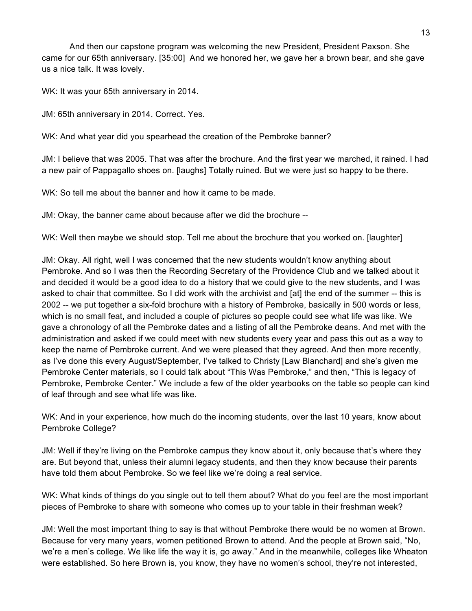And then our capstone program was welcoming the new President, President Paxson. She came for our 65th anniversary. [35:00] And we honored her, we gave her a brown bear, and she gave us a nice talk. It was lovely.

WK: It was your 65th anniversary in 2014.

JM: 65th anniversary in 2014. Correct. Yes.

WK: And what year did you spearhead the creation of the Pembroke banner?

JM: I believe that was 2005. That was after the brochure. And the first year we marched, it rained. I had a new pair of Pappagallo shoes on. [laughs] Totally ruined. But we were just so happy to be there.

WK: So tell me about the banner and how it came to be made.

JM: Okay, the banner came about because after we did the brochure --

WK: Well then maybe we should stop. Tell me about the brochure that you worked on. [laughter]

JM: Okay. All right, well I was concerned that the new students wouldn't know anything about Pembroke. And so I was then the Recording Secretary of the Providence Club and we talked about it and decided it would be a good idea to do a history that we could give to the new students, and I was asked to chair that committee. So I did work with the archivist and [at] the end of the summer -- this is 2002 -- we put together a six-fold brochure with a history of Pembroke, basically in 500 words or less, which is no small feat, and included a couple of pictures so people could see what life was like. We gave a chronology of all the Pembroke dates and a listing of all the Pembroke deans. And met with the administration and asked if we could meet with new students every year and pass this out as a way to keep the name of Pembroke current. And we were pleased that they agreed. And then more recently, as I've done this every August/September, I've talked to Christy [Law Blanchard] and she's given me Pembroke Center materials, so I could talk about "This Was Pembroke," and then, "This is legacy of Pembroke, Pembroke Center." We include a few of the older yearbooks on the table so people can kind of leaf through and see what life was like.

WK: And in your experience, how much do the incoming students, over the last 10 years, know about Pembroke College?

JM: Well if they're living on the Pembroke campus they know about it, only because that's where they are. But beyond that, unless their alumni legacy students, and then they know because their parents have told them about Pembroke. So we feel like we're doing a real service.

WK: What kinds of things do you single out to tell them about? What do you feel are the most important pieces of Pembroke to share with someone who comes up to your table in their freshman week?

JM: Well the most important thing to say is that without Pembroke there would be no women at Brown. Because for very many years, women petitioned Brown to attend. And the people at Brown said, "No, we're a men's college. We like life the way it is, go away." And in the meanwhile, colleges like Wheaton were established. So here Brown is, you know, they have no women's school, they're not interested,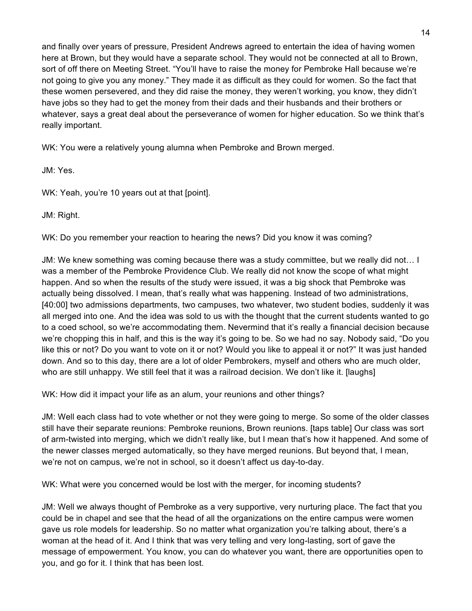and finally over years of pressure, President Andrews agreed to entertain the idea of having women here at Brown, but they would have a separate school. They would not be connected at all to Brown, sort of off there on Meeting Street. "You'll have to raise the money for Pembroke Hall because we're not going to give you any money." They made it as difficult as they could for women. So the fact that these women persevered, and they did raise the money, they weren't working, you know, they didn't have jobs so they had to get the money from their dads and their husbands and their brothers or whatever, says a great deal about the perseverance of women for higher education. So we think that's really important.

WK: You were a relatively young alumna when Pembroke and Brown merged.

JM: Yes.

WK: Yeah, you're 10 years out at that [point].

JM: Right.

WK: Do you remember your reaction to hearing the news? Did you know it was coming?

JM: We knew something was coming because there was a study committee, but we really did not… I was a member of the Pembroke Providence Club. We really did not know the scope of what might happen. And so when the results of the study were issued, it was a big shock that Pembroke was actually being dissolved. I mean, that's really what was happening. Instead of two administrations, [40:00] two admissions departments, two campuses, two whatever, two student bodies, suddenly it was all merged into one. And the idea was sold to us with the thought that the current students wanted to go to a coed school, so we're accommodating them. Nevermind that it's really a financial decision because we're chopping this in half, and this is the way it's going to be. So we had no say. Nobody said, "Do you like this or not? Do you want to vote on it or not? Would you like to appeal it or not?" It was just handed down. And so to this day, there are a lot of older Pembrokers, myself and others who are much older, who are still unhappy. We still feel that it was a railroad decision. We don't like it. [laughs]

WK: How did it impact your life as an alum, your reunions and other things?

JM: Well each class had to vote whether or not they were going to merge. So some of the older classes still have their separate reunions: Pembroke reunions, Brown reunions. [taps table] Our class was sort of arm-twisted into merging, which we didn't really like, but I mean that's how it happened. And some of the newer classes merged automatically, so they have merged reunions. But beyond that, I mean, we're not on campus, we're not in school, so it doesn't affect us day-to-day.

WK: What were you concerned would be lost with the merger, for incoming students?

JM: Well we always thought of Pembroke as a very supportive, very nurturing place. The fact that you could be in chapel and see that the head of all the organizations on the entire campus were women gave us role models for leadership. So no matter what organization you're talking about, there's a woman at the head of it. And I think that was very telling and very long-lasting, sort of gave the message of empowerment. You know, you can do whatever you want, there are opportunities open to you, and go for it. I think that has been lost.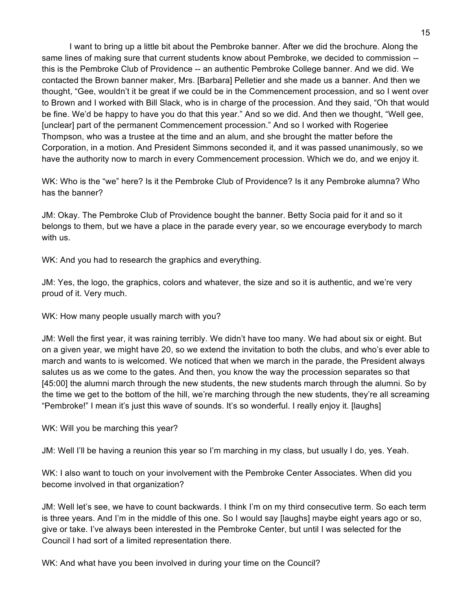I want to bring up a little bit about the Pembroke banner. After we did the brochure. Along the same lines of making sure that current students know about Pembroke, we decided to commission - this is the Pembroke Club of Providence -- an authentic Pembroke College banner. And we did. We contacted the Brown banner maker, Mrs. [Barbara] Pelletier and she made us a banner. And then we thought, "Gee, wouldn't it be great if we could be in the Commencement procession, and so I went over to Brown and I worked with Bill Slack, who is in charge of the procession. And they said, "Oh that would be fine. We'd be happy to have you do that this year." And so we did. And then we thought, "Well gee, [unclear] part of the permanent Commencement procession." And so I worked with Rogeriee Thompson, who was a trustee at the time and an alum, and she brought the matter before the Corporation, in a motion. And President Simmons seconded it, and it was passed unanimously, so we have the authority now to march in every Commencement procession. Which we do, and we enjoy it.

WK: Who is the "we" here? Is it the Pembroke Club of Providence? Is it any Pembroke alumna? Who has the banner?

JM: Okay. The Pembroke Club of Providence bought the banner. Betty Socia paid for it and so it belongs to them, but we have a place in the parade every year, so we encourage everybody to march with us.

WK: And you had to research the graphics and everything.

JM: Yes, the logo, the graphics, colors and whatever, the size and so it is authentic, and we're very proud of it. Very much.

WK: How many people usually march with you?

JM: Well the first year, it was raining terribly. We didn't have too many. We had about six or eight. But on a given year, we might have 20, so we extend the invitation to both the clubs, and who's ever able to march and wants to is welcomed. We noticed that when we march in the parade, the President always salutes us as we come to the gates. And then, you know the way the procession separates so that [45:00] the alumni march through the new students, the new students march through the alumni. So by the time we get to the bottom of the hill, we're marching through the new students, they're all screaming "Pembroke!" I mean it's just this wave of sounds. It's so wonderful. I really enjoy it. [laughs]

WK: Will you be marching this year?

JM: Well I'll be having a reunion this year so I'm marching in my class, but usually I do, yes. Yeah.

WK: I also want to touch on your involvement with the Pembroke Center Associates. When did you become involved in that organization?

JM: Well let's see, we have to count backwards. I think I'm on my third consecutive term. So each term is three years. And I'm in the middle of this one. So I would say [laughs] maybe eight years ago or so, give or take. I've always been interested in the Pembroke Center, but until I was selected for the Council I had sort of a limited representation there.

WK: And what have you been involved in during your time on the Council?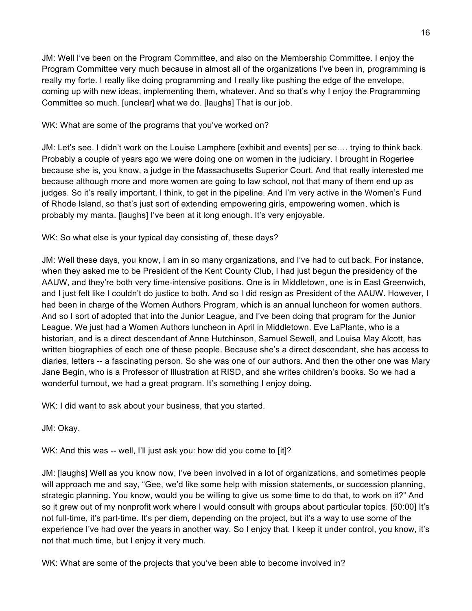JM: Well I've been on the Program Committee, and also on the Membership Committee. I enjoy the Program Committee very much because in almost all of the organizations I've been in, programming is really my forte. I really like doing programming and I really like pushing the edge of the envelope, coming up with new ideas, implementing them, whatever. And so that's why I enjoy the Programming Committee so much. [unclear] what we do. [laughs] That is our job.

# WK: What are some of the programs that you've worked on?

JM: Let's see. I didn't work on the Louise Lamphere [exhibit and events] per se…. trying to think back. Probably a couple of years ago we were doing one on women in the judiciary. I brought in Rogeriee because she is, you know, a judge in the Massachusetts Superior Court. And that really interested me because although more and more women are going to law school, not that many of them end up as judges. So it's really important, I think, to get in the pipeline. And I'm very active in the Women's Fund of Rhode Island, so that's just sort of extending empowering girls, empowering women, which is probably my manta. [laughs] I've been at it long enough. It's very enjoyable.

# WK: So what else is your typical day consisting of, these days?

JM: Well these days, you know, I am in so many organizations, and I've had to cut back. For instance, when they asked me to be President of the Kent County Club, I had just begun the presidency of the AAUW, and they're both very time-intensive positions. One is in Middletown, one is in East Greenwich, and I just felt like I couldn't do justice to both. And so I did resign as President of the AAUW. However, I had been in charge of the Women Authors Program, which is an annual luncheon for women authors. And so I sort of adopted that into the Junior League, and I've been doing that program for the Junior League. We just had a Women Authors luncheon in April in Middletown. Eve LaPlante, who is a historian, and is a direct descendant of Anne Hutchinson, Samuel Sewell, and Louisa May Alcott, has written biographies of each one of these people. Because she's a direct descendant, she has access to diaries, letters -- a fascinating person. So she was one of our authors. And then the other one was Mary Jane Begin, who is a Professor of Illustration at RISD, and she writes children's books. So we had a wonderful turnout, we had a great program. It's something I enjoy doing.

WK: I did want to ask about your business, that you started.

JM: Okay.

WK: And this was -- well, I'll just ask you: how did you come to [it]?

JM: [laughs] Well as you know now, I've been involved in a lot of organizations, and sometimes people will approach me and say, "Gee, we'd like some help with mission statements, or succession planning, strategic planning. You know, would you be willing to give us some time to do that, to work on it?" And so it grew out of my nonprofit work where I would consult with groups about particular topics. [50:00] It's not full-time, it's part-time. It's per diem, depending on the project, but it's a way to use some of the experience I've had over the years in another way. So I enjoy that. I keep it under control, you know, it's not that much time, but I enjoy it very much.

WK: What are some of the projects that you've been able to become involved in?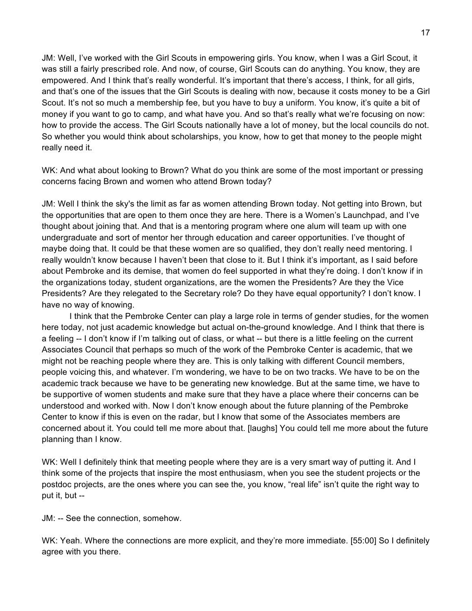JM: Well, I've worked with the Girl Scouts in empowering girls. You know, when I was a Girl Scout, it was still a fairly prescribed role. And now, of course, Girl Scouts can do anything. You know, they are empowered. And I think that's really wonderful. It's important that there's access, I think, for all girls, and that's one of the issues that the Girl Scouts is dealing with now, because it costs money to be a Girl Scout. It's not so much a membership fee, but you have to buy a uniform. You know, it's quite a bit of money if you want to go to camp, and what have you. And so that's really what we're focusing on now: how to provide the access. The Girl Scouts nationally have a lot of money, but the local councils do not. So whether you would think about scholarships, you know, how to get that money to the people might really need it.

WK: And what about looking to Brown? What do you think are some of the most important or pressing concerns facing Brown and women who attend Brown today?

JM: Well I think the sky's the limit as far as women attending Brown today. Not getting into Brown, but the opportunities that are open to them once they are here. There is a Women's Launchpad, and I've thought about joining that. And that is a mentoring program where one alum will team up with one undergraduate and sort of mentor her through education and career opportunities. I've thought of maybe doing that. It could be that these women are so qualified, they don't really need mentoring. I really wouldn't know because I haven't been that close to it. But I think it's important, as I said before about Pembroke and its demise, that women do feel supported in what they're doing. I don't know if in the organizations today, student organizations, are the women the Presidents? Are they the Vice Presidents? Are they relegated to the Secretary role? Do they have equal opportunity? I don't know. I have no way of knowing.

I think that the Pembroke Center can play a large role in terms of gender studies, for the women here today, not just academic knowledge but actual on-the-ground knowledge. And I think that there is a feeling -- I don't know if I'm talking out of class, or what -- but there is a little feeling on the current Associates Council that perhaps so much of the work of the Pembroke Center is academic, that we might not be reaching people where they are. This is only talking with different Council members, people voicing this, and whatever. I'm wondering, we have to be on two tracks. We have to be on the academic track because we have to be generating new knowledge. But at the same time, we have to be supportive of women students and make sure that they have a place where their concerns can be understood and worked with. Now I don't know enough about the future planning of the Pembroke Center to know if this is even on the radar, but I know that some of the Associates members are concerned about it. You could tell me more about that. [laughs] You could tell me more about the future planning than I know.

WK: Well I definitely think that meeting people where they are is a very smart way of putting it. And I think some of the projects that inspire the most enthusiasm, when you see the student projects or the postdoc projects, are the ones where you can see the, you know, "real life" isn't quite the right way to put it, but --

JM: -- See the connection, somehow.

WK: Yeah. Where the connections are more explicit, and they're more immediate. [55:00] So I definitely agree with you there.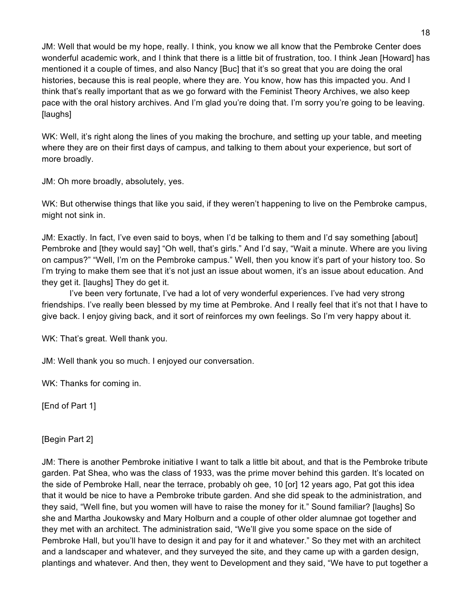JM: Well that would be my hope, really. I think, you know we all know that the Pembroke Center does wonderful academic work, and I think that there is a little bit of frustration, too. I think Jean [Howard] has mentioned it a couple of times, and also Nancy [Buc] that it's so great that you are doing the oral histories, because this is real people, where they are. You know, how has this impacted you. And I think that's really important that as we go forward with the Feminist Theory Archives, we also keep pace with the oral history archives. And I'm glad you're doing that. I'm sorry you're going to be leaving. [laughs]

WK: Well, it's right along the lines of you making the brochure, and setting up your table, and meeting where they are on their first days of campus, and talking to them about your experience, but sort of more broadly.

JM: Oh more broadly, absolutely, yes.

WK: But otherwise things that like you said, if they weren't happening to live on the Pembroke campus, might not sink in.

JM: Exactly. In fact, I've even said to boys, when I'd be talking to them and I'd say something [about] Pembroke and [they would say] "Oh well, that's girls." And I'd say, "Wait a minute. Where are you living on campus?" "Well, I'm on the Pembroke campus." Well, then you know it's part of your history too. So I'm trying to make them see that it's not just an issue about women, it's an issue about education. And they get it. [laughs] They do get it.

I've been very fortunate, I've had a lot of very wonderful experiences. I've had very strong friendships. I've really been blessed by my time at Pembroke. And I really feel that it's not that I have to give back. I enjoy giving back, and it sort of reinforces my own feelings. So I'm very happy about it.

WK: That's great. Well thank you.

JM: Well thank you so much. I enjoyed our conversation.

WK: Thanks for coming in.

[End of Part 1]

[Begin Part 2]

JM: There is another Pembroke initiative I want to talk a little bit about, and that is the Pembroke tribute garden. Pat Shea, who was the class of 1933, was the prime mover behind this garden. It's located on the side of Pembroke Hall, near the terrace, probably oh gee, 10 [or] 12 years ago, Pat got this idea that it would be nice to have a Pembroke tribute garden. And she did speak to the administration, and they said, "Well fine, but you women will have to raise the money for it." Sound familiar? [laughs] So she and Martha Joukowsky and Mary Holburn and a couple of other older alumnae got together and they met with an architect. The administration said, "We'll give you some space on the side of Pembroke Hall, but you'll have to design it and pay for it and whatever." So they met with an architect and a landscaper and whatever, and they surveyed the site, and they came up with a garden design, plantings and whatever. And then, they went to Development and they said, "We have to put together a